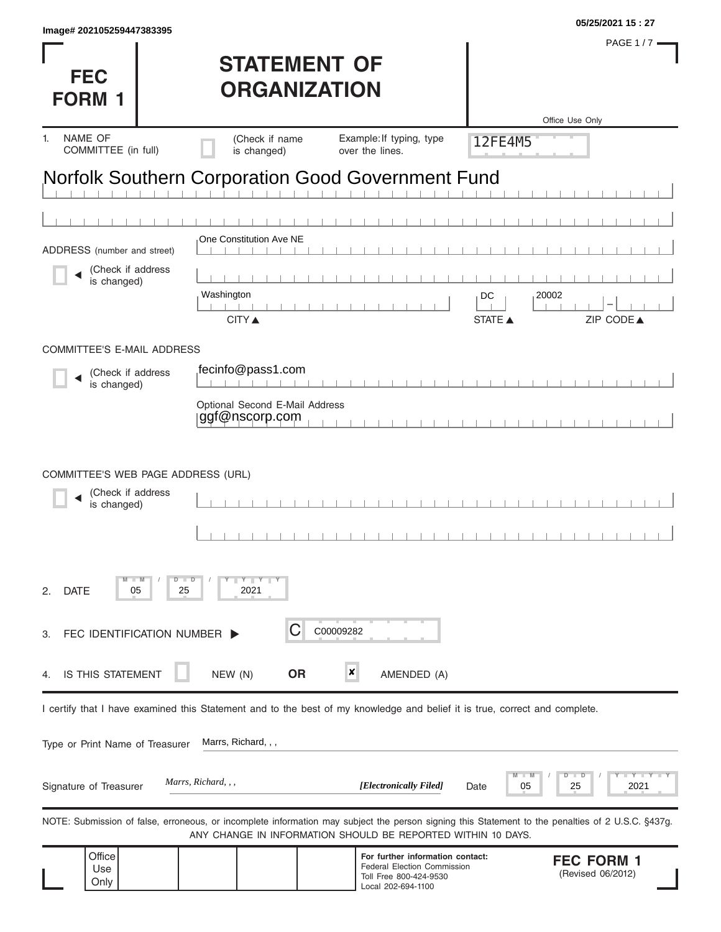| <b>FEC</b><br><b>FORM 1</b>                                            | <b>STATEMENT OF</b><br><b>ORGANIZATION</b>                                                                                                        |                                                                                                                        | <b>PAGE 1/7</b><br>Office Use Only                                                                                                                |
|------------------------------------------------------------------------|---------------------------------------------------------------------------------------------------------------------------------------------------|------------------------------------------------------------------------------------------------------------------------|---------------------------------------------------------------------------------------------------------------------------------------------------|
| NAME OF<br>1.<br>COMMITTEE (in full)                                   | (Check if name<br>is changed)                                                                                                                     | Example: If typing, type<br>over the lines.                                                                            | 12FE4M5                                                                                                                                           |
|                                                                        | <b>Norfolk Southern Corporation Good Government Fund</b><br>One Constitution Ave NE                                                               |                                                                                                                        |                                                                                                                                                   |
| ADDRESS (number and street)<br>(Check if address<br>is changed)        | Washington<br><b>CITY ▲</b>                                                                                                                       |                                                                                                                        | 20002<br>DC<br>ZIP CODE▲<br><b>STATE ▲</b>                                                                                                        |
| <b>COMMITTEE'S E-MAIL ADDRESS</b>                                      |                                                                                                                                                   |                                                                                                                        |                                                                                                                                                   |
| (Check if address<br>is changed)                                       | fecinfo@pass1.com<br>$\mathbf{1}$ $\mathbf{1}$ $\mathbf{1}$<br>Optional Second E-Mail Address<br>ggf@nscorp.com                                   |                                                                                                                        |                                                                                                                                                   |
| COMMITTEE'S WEB PAGE ADDRESS (URL)<br>(Check if address<br>is changed) |                                                                                                                                                   |                                                                                                                        |                                                                                                                                                   |
| $M - M$<br><b>DATE</b><br>05<br>2.                                     | $Y - Y - Y$<br>$D$ $D$<br>2021<br>25                                                                                                              |                                                                                                                        |                                                                                                                                                   |
| FEC IDENTIFICATION NUMBER<br>З.                                        | C                                                                                                                                                 | C00009282                                                                                                              |                                                                                                                                                   |
| IS THIS STATEMENT<br>4.                                                | <b>OR</b><br>NEW (N)                                                                                                                              | ×<br>AMENDED (A)                                                                                                       |                                                                                                                                                   |
| Type or Print Name of Treasurer                                        | I certify that I have examined this Statement and to the best of my knowledge and belief it is true, correct and complete.<br>Marrs, Richard, , , |                                                                                                                        |                                                                                                                                                   |
| Signature of Treasurer                                                 | Marrs, Richard, , ,                                                                                                                               | [Electronically Filed]                                                                                                 | D<br>⊃<br>Y TY<br>$\blacksquare$ M<br>2021<br>05<br>25<br>Date                                                                                    |
|                                                                        | ANY CHANGE IN INFORMATION SHOULD BE REPORTED WITHIN 10 DAYS.                                                                                      |                                                                                                                        | NOTE: Submission of false, erroneous, or incomplete information may subject the person signing this Statement to the penalties of 2 U.S.C. §437g. |
| Office<br>Use<br>Only                                                  |                                                                                                                                                   | For further information contact:<br><b>Federal Election Commission</b><br>Toll Free 800-424-9530<br>Local 202-694-1100 | <b>FEC FORM 1</b><br>(Revised 06/2012)                                                                                                            |

**05/25/2021 15 : 27 Image# 202105259447383395**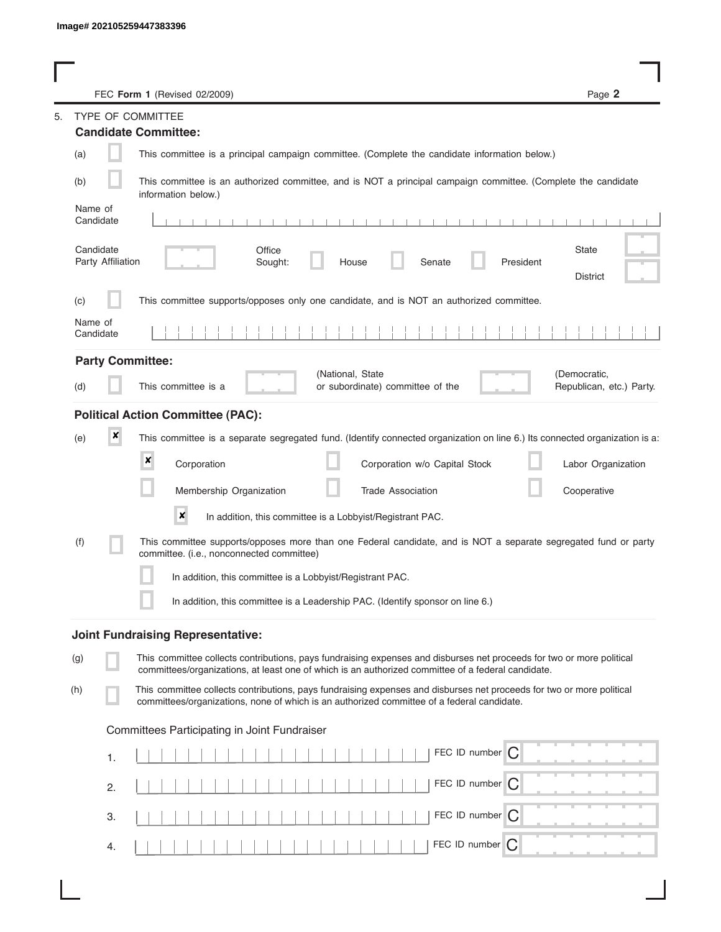|                                | Page 2<br>FEC Form 1 (Revised 02/2009)                                                                                                                                                                                      |
|--------------------------------|-----------------------------------------------------------------------------------------------------------------------------------------------------------------------------------------------------------------------------|
|                                | <b>TYPE OF COMMITTEE</b>                                                                                                                                                                                                    |
|                                | <b>Candidate Committee:</b>                                                                                                                                                                                                 |
| (a)                            | This committee is a principal campaign committee. (Complete the candidate information below.)                                                                                                                               |
| (b)                            | This committee is an authorized committee, and is NOT a principal campaign committee. (Complete the candidate<br>information below.)                                                                                        |
| Name of<br>Candidate           | .<br>.                                                                                                                                                                                                                      |
| Candidate<br>Party Affiliation | <b>State</b><br>Office<br>Sought:<br>Senate<br>President<br>House<br><b>District</b>                                                                                                                                        |
| (c)                            | This committee supports/opposes only one candidate, and is NOT an authorized committee.                                                                                                                                     |
| Name of<br>Candidate           |                                                                                                                                                                                                                             |
|                                | <b>Party Committee:</b>                                                                                                                                                                                                     |
| (d)                            | (National, State<br>(Democratic,<br>This committee is a<br>or subordinate) committee of the<br>Republican, etc.) Party.                                                                                                     |
|                                | <b>Political Action Committee (PAC):</b>                                                                                                                                                                                    |
| ×<br>(e)                       | This committee is a separate segregated fund. (Identify connected organization on line 6.) Its connected organization is a:                                                                                                 |
|                                | $\pmb{\times}$<br>Corporation<br>Corporation w/o Capital Stock<br>Labor Organization                                                                                                                                        |
|                                | Membership Organization<br>Cooperative<br><b>Trade Association</b>                                                                                                                                                          |
|                                | ×<br>In addition, this committee is a Lobbyist/Registrant PAC.                                                                                                                                                              |
| (f)                            | This committee supports/opposes more than one Federal candidate, and is NOT a separate segregated fund or party<br>committee. (i.e., nonconnected committee)                                                                |
|                                | In addition, this committee is a Lobbyist/Registrant PAC.                                                                                                                                                                   |
|                                | In addition, this committee is a Leadership PAC. (Identify sponsor on line 6.)                                                                                                                                              |
|                                | <b>Joint Fundraising Representative:</b>                                                                                                                                                                                    |
| (g)                            | This committee collects contributions, pays fundraising expenses and disburses net proceeds for two or more political<br>committees/organizations, at least one of which is an authorized committee of a federal candidate. |
| (h)                            | This committee collects contributions, pays fundraising expenses and disburses net proceeds for two or more political<br>committees/organizations, none of which is an authorized committee of a federal candidate.         |
|                                | Committees Participating in Joint Fundraiser                                                                                                                                                                                |
| 1.                             | FEC ID number $\bigcap$                                                                                                                                                                                                     |
| 2.                             | FEC ID number C                                                                                                                                                                                                             |
| 3.                             | FEC ID number $\bigcap$                                                                                                                                                                                                     |
| 4.                             | FEC ID number<br>C                                                                                                                                                                                                          |

I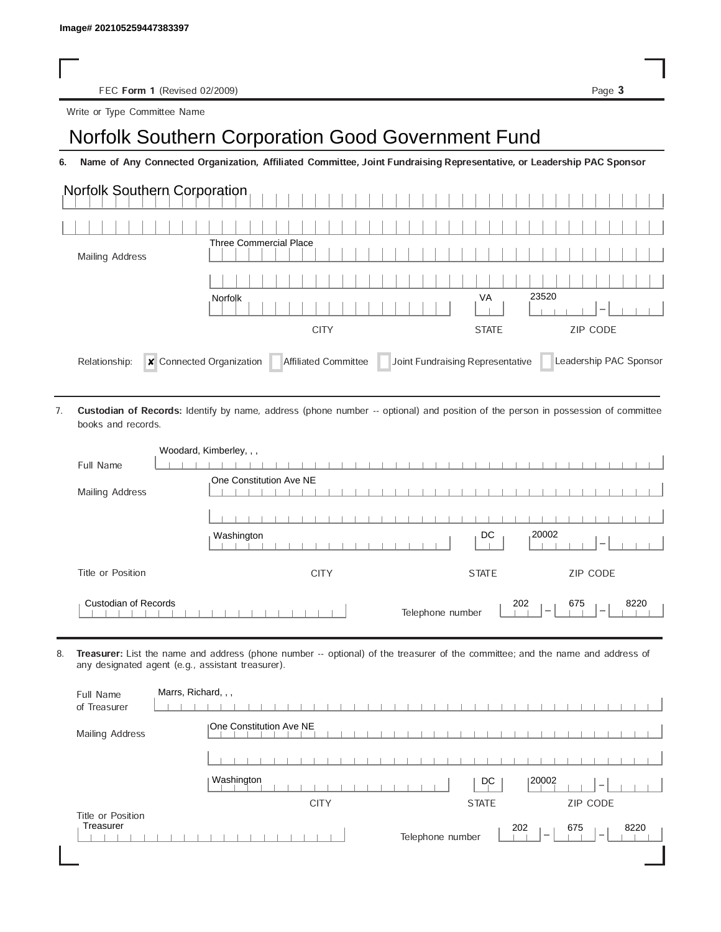FEC Form 1 (Revised 02/2009) Page 3

Write or Type Committee Name

## Image# 202105259447383397<br>
Norfolk Southern Corporation Good Government Fund<br>
Image Norfolk Southern Corporation Good Government Fund

6. Name of Any Connected Organization, Affiliated Committee, Joint Fundraising Representative, or Leadership PAC Sponsor

| Norfolk Southern Corporation              |                                                                                                                                                                                             |                                  |                        |
|-------------------------------------------|---------------------------------------------------------------------------------------------------------------------------------------------------------------------------------------------|----------------------------------|------------------------|
|                                           |                                                                                                                                                                                             |                                  |                        |
| <b>Mailing Address</b>                    | <b>Three Commercial Place</b>                                                                                                                                                               |                                  |                        |
|                                           |                                                                                                                                                                                             |                                  |                        |
|                                           | Norfolk                                                                                                                                                                                     | VA                               | 23520                  |
|                                           | <b>CITY</b>                                                                                                                                                                                 | <b>STATE</b>                     | ZIP CODE               |
| Relationship:<br>7.<br>books and records. | <b>x</b> Connected Organization<br>Affiliated Committee<br>Custodian of Records: Identify by name, address (phone number -- optional) and position of the person in possession of committee | Joint Fundraising Representative | Leadership PAC Sponsor |
|                                           | Woodard, Kimberley, , ,                                                                                                                                                                     |                                  |                        |
| Full Name                                 |                                                                                                                                                                                             |                                  |                        |
| Mailing Address                           | One Constitution Ave NE                                                                                                                                                                     |                                  |                        |
|                                           |                                                                                                                                                                                             |                                  |                        |
|                                           | Washington                                                                                                                                                                                  | DC                               | 20002                  |
| Title or Position                         | <b>CITY</b>                                                                                                                                                                                 | <b>STATE</b>                     | ZIP CODE               |
| <b>Custodian of Records</b>               |                                                                                                                                                                                             | Telephone number                 | 8220<br>202<br>675     |

8. Treasurer: List the name and address (phone number -- optional) of the treasurer of the committee; and the name and address of any designated agent (e.g., assistant treasurer).

| Full Name<br>of Treasurer      | Marrs, Richard, , ,                                                                    |
|--------------------------------|----------------------------------------------------------------------------------------|
| Mailing Address                | <b>IOne Constitution Ave NE</b>                                                        |
|                                |                                                                                        |
|                                | Washington<br>20002<br>D.C<br>$\overline{\phantom{a}}$                                 |
|                                | <b>CITY</b><br>ZIP CODE<br><b>STATE</b>                                                |
| Title or Position<br>Treasurer | 202<br>675<br>8220<br>Telephone number<br>$\hspace{0.1mm}$<br>$\overline{\phantom{a}}$ |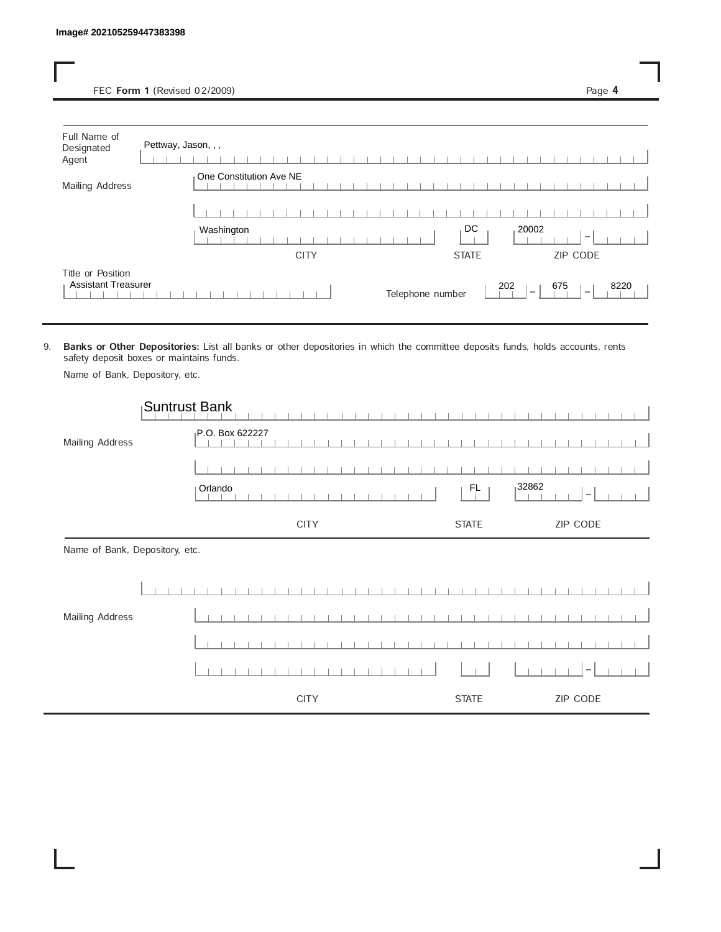FEC Form 1 (Revised 02/2009) Page 4

| Full Name of<br>Designated<br>Agent             | Pettway, Jason, , , |                         |             |  |  |                  |  |              |     |        |     |                          |      |  |
|-------------------------------------------------|---------------------|-------------------------|-------------|--|--|------------------|--|--------------|-----|--------|-----|--------------------------|------|--|
| Mailing Address                                 |                     | One Constitution Ave NE |             |  |  |                  |  |              |     |        |     |                          |      |  |
|                                                 |                     |                         |             |  |  |                  |  |              |     |        |     |                          |      |  |
|                                                 |                     | Washington              |             |  |  |                  |  | DC           |     | 20002  |     | $\overline{\phantom{a}}$ |      |  |
|                                                 |                     |                         | <b>CITY</b> |  |  |                  |  | <b>STATE</b> |     |        |     | ZIP CODE                 |      |  |
| Title or Position<br><b>Assistant Treasurer</b> |                     |                         |             |  |  | Telephone number |  |              | 202 | $\sim$ | 675 | $\sim$                   | 8220 |  |

9. Banks or Other Depositories: List all banks or other depositories in which the committee deposits funds, holds accounts, rents safety deposit boxes or maintains funds.

Name of Bank, Depository, etc.

|                                | Suntrust Bank   |              |                          |
|--------------------------------|-----------------|--------------|--------------------------|
| Mailing Address                | P.O. Box 622227 |              |                          |
|                                |                 |              |                          |
|                                | Orlando         | 32862<br>FL  | $\overline{\phantom{m}}$ |
|                                | <b>CITY</b>     | <b>STATE</b> | ZIP CODE                 |
| Name of Bank, Depository, etc. |                 |              |                          |
|                                |                 |              |                          |
| Mailing Address                |                 |              |                          |
|                                |                 |              |                          |
|                                |                 |              |                          |
|                                | <b>CITY</b>     | <b>STATE</b> | ZIP CODE                 |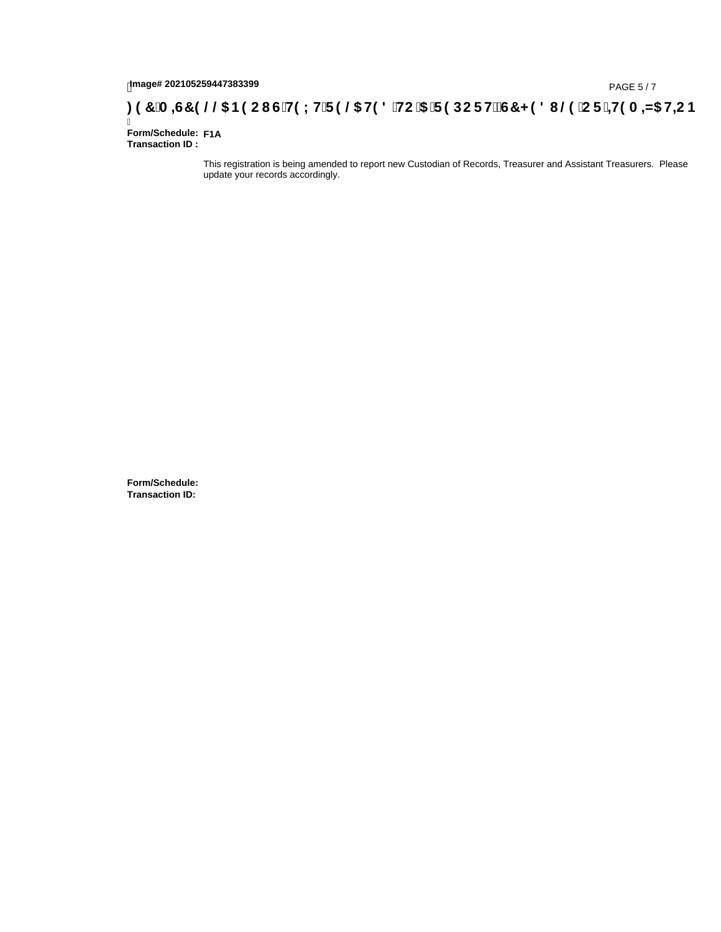## 1mage# 202105259447383399<br>DAGE 5/7( A **=G7 9 @@ B9 CI G`H9 LH`F 9 @ H9 8 `HC `5 `F 9 DC F Hž G7 < 9 8 I @ `C F `<del>I I</del>9 A =N5 H=C B**

Ī **Form/Schedule: F1A Transaction ID :** 

> This registration is being amended to report new Custodian of Records, Treasurer and Assistant Treasurers. Please update your records accordingly.

**Form/Schedule: Transaction ID:**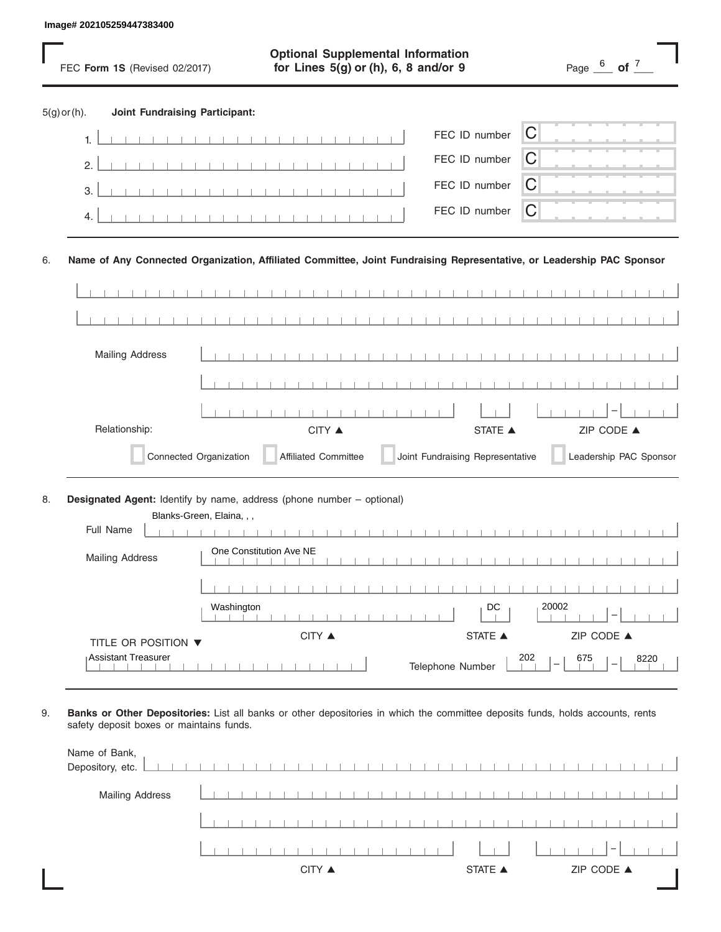|                |    | Image# 202105259447383400             |                                                                                                                       |                                     |
|----------------|----|---------------------------------------|-----------------------------------------------------------------------------------------------------------------------|-------------------------------------|
|                |    | FEC Form 1S (Revised 02/2017)         | <b>Optional Supplemental Information</b><br>for Lines $5(g)$ or (h), 6, 8 and/or 9                                    | Page $\frac{6}{1}$ of $\frac{7}{1}$ |
| $5(g)$ or (h). |    | <b>Joint Fundraising Participant:</b> |                                                                                                                       |                                     |
|                | 1. |                                       | FEC ID number                                                                                                         | C                                   |
|                | 2. |                                       | FEC ID number                                                                                                         | С                                   |
|                | 3. |                                       | FEC ID number                                                                                                         | С                                   |
|                | 4. |                                       | FEC ID number                                                                                                         | C                                   |
| 6.             |    |                                       | Name of Any Connected Organization, Affiliated Committee, Joint Fundraising Representative, or Leadership PAC Sponsor |                                     |
|                |    |                                       |                                                                                                                       |                                     |
|                |    |                                       |                                                                                                                       |                                     |
|                |    | <b>Mailing Address</b>                |                                                                                                                       |                                     |
|                |    |                                       |                                                                                                                       |                                     |
|                |    | Relationship:                         | CITY ▲<br><b>STATE</b> ▲                                                                                              | ZIP CODE ▲                          |
|                |    | Connected Organization                | Joint Fundraising Representative<br><b>Affiliated Committee</b>                                                       | Leadership PAC Sponsor              |
| 8.             |    | Full Name                             | Designated Agent: Identify by name, address (phone number - optional)<br>Blanks-Green, Elaina, , ,                    |                                     |
|                |    | <b>Mailing Address</b>                | One Constitution Ave NE                                                                                               |                                     |
|                |    |                                       |                                                                                                                       |                                     |
|                |    |                                       | Washington<br>DC                                                                                                      | 20002                               |
|                |    | TITLE OR POSITION ▼                   | CITY ▲<br><b>STATE</b> ▲                                                                                              | ZIP CODE ▲                          |
|                |    | Assistant Treasurer                   | Telephone Number                                                                                                      | 202<br>8220<br>675                  |

9. **Banks or Other Depositories:** List all banks or other depositories in which the committee deposits funds, holds accounts, rents safety deposit boxes or maintains funds.

| Name of Bank,<br>Depository, etc. |  |  |  | <b>TERMINER PROPERTY</b> |        |  |  |  |  |  |         |  |  |  |            |  |  |
|-----------------------------------|--|--|--|--------------------------|--------|--|--|--|--|--|---------|--|--|--|------------|--|--|
| <b>Mailing Address</b>            |  |  |  |                          |        |  |  |  |  |  |         |  |  |  |            |  |  |
|                                   |  |  |  |                          |        |  |  |  |  |  |         |  |  |  |            |  |  |
|                                   |  |  |  |                          |        |  |  |  |  |  |         |  |  |  |            |  |  |
|                                   |  |  |  |                          | CITY ▲ |  |  |  |  |  | STATE A |  |  |  | ZIP CODE ▲ |  |  |